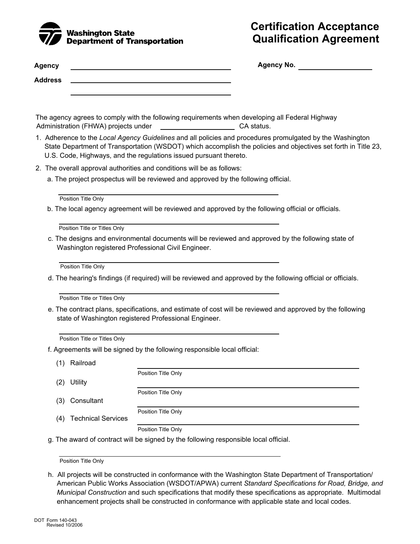

## **Certification Acceptance Qualification Agreement**

| Agency         | <b>Agency No.</b> |
|----------------|-------------------|
| <b>Address</b> |                   |
|                |                   |

The agency agrees to comply with the following requirements when developing all Federal Highway **CA** status. Administration (FHWA) projects under

- 1. Adherence to the *Local Agency Guidelines* and all policies and procedures promulgated by the Washington State Department of Transportation (WSDOT) which accomplish the policies and objectives set forth in Title 23, U.S. Code, Highways, and the regulations issued pursuant thereto.
- 2. The overall approval authorities and conditions will be as follows:
	- a. The project prospectus will be reviewed and approved by the following official.

b. The local agency agreement will be reviewed and approved by the following official or officials.

Position Title or Titles Only

c. The designs and environmental documents will be reviewed and approved by the following state of Washington registered Professional Civil Engineer.

Position Title Only

d. The hearing's findings (if required) will be reviewed and approved by the following official or officials.

Position Title or Titles Only

e. The contract plans, specifications, and estimate of cost will be reviewed and approved by the following state of Washington registered Professional Engineer.

Position Title or Titles Only

f. Agreements will be signed by the following responsible local official:

(1) Railroad

|     |                           | Position Title Only |
|-----|---------------------------|---------------------|
| (2) | <b>Utility</b>            |                     |
|     |                           | Position Title Only |
| (3) | Consultant                |                     |
|     |                           | Position Title Only |
| (4) | <b>Technical Services</b> |                     |
|     |                           | Position Title Only |

g. The award of contract will be signed by the following responsible local official.

Position Title Only

h. All projects will be constructed in conformance with the Washington State Department of Transportation/ American Public Works Association (WSDOT/APWA) current *Standard Specifications for Road, Bridge, and Municipal Construction* and such specifications that modify these specifications as appropriate. Multimodal enhancement projects shall be constructed in conformance with applicable state and local codes.